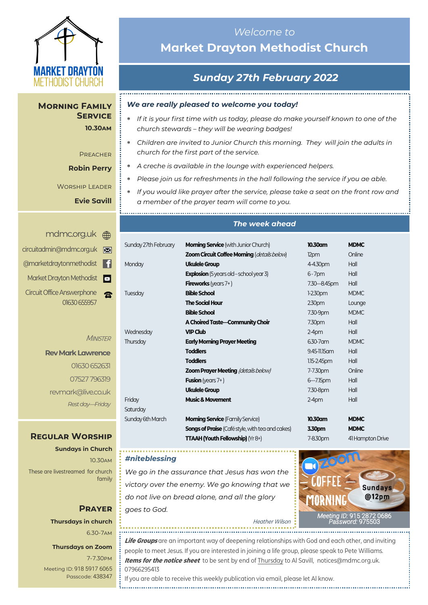

**Morning Family Service 10.30am**

> **PREACHER Robin Perry**

Worship Leader

**Evie Savill**

| ⊠ | circuitadmin@mdmc.org.uk                          |
|---|---------------------------------------------------|
| m | @marketdraytonmethodist                           |
| o | Market Drayton Methodist                          |
|   | <b>Circuit Office Answerphone</b><br>01630 655957 |

#### **MINISTER**

**Rev Mark Lawrence** 01630 652631 07527 796319 revmark@live.co.uk *Rest day—Friday*

## **Regular Worship**

**Sundays in Church** 10.30am These are livestreamed for church family

## **Prayer Thursdays in church** 6.30-7am

#### **Thursdays on Zoom**

7-7.30pm [Meeting ID:](https://us04web.zoom.us/j/77138650306?fbclid=IwAR1B778-w3GWZgDnAqUFq-X6hXjzASNTsZuRIt4kZ4Cpyur_3CO2EGlBBwY#success) 918 5917 6065 Passcode: 438347

# *Welcome to*  **Market Drayton Methodist Church**

# *Sunday 27th February 2022*

*We are really pleased to welcome you today!*

- *If it is your first time with us today, please do make yourself known to one of the church stewards – they will be wearing badges!*
- *Children are invited to Junior Church this morning. They will join the adults in church for the first part of the service.*
- *A creche is available in the lounge with experienced helpers.*

- *Please join us for refreshments in the hall following the service if you ae able.*
- *If you would like prayer after the service, please take a seat on the front row and a member of the prayer team will come to you.*

## *The week ahead*

| Sunday 27th February | <b>Morning Service</b> (with Junior Church)             | 10.30am           | <b>MDMC</b>      |
|----------------------|---------------------------------------------------------|-------------------|------------------|
|                      | Zoom Circuit Coffee Morning (details below)             | 12pm              | Online           |
| Monday               | <b>Ukulele Group</b>                                    | 4-4.30pm          | Hall             |
|                      | <b>Explosion</b> (5 years old - school year 3)          | $6 - 7$ pm        | Hall             |
|                      | <b>Fireworks</b> (years $7+$ )                          | 7.30 - 8.45pm     | Hall             |
| Tuesday              | <b>Bible School</b>                                     | $1-2.30$ pm       | <b>MDMC</b>      |
|                      | <b>The Social Hour</b>                                  | 230 <sub>pm</sub> | Lounge           |
|                      | <b>Bible School</b>                                     | 7.30-9pm          | <b>MDMC</b>      |
|                      | A Choired Taste-Community Choir                         | 7.30pm            | Hall             |
| Wednesday            | <b>VIP Club</b>                                         | $2-4$ pm          | Hall             |
| Thursday             | <b>Early Morning Prayer Meeting</b>                     | 6.30-7 am         | <b>MDMC</b>      |
|                      | <b>Toddlers</b>                                         | 9.45-11.15 am     | Hall             |
|                      | <b>Toddlers</b>                                         | 1.15-2.45pm       | Hall             |
|                      | <b>Zoom Prayer Meeting (details below)</b>              | 7-7.30pm          | Online           |
|                      | <b>Fusion</b> (years 7+)                                | $6 - 7.15$ pm     | Hall             |
|                      | <b>Ukulele Group</b>                                    | 7.30-8pm          | Hall             |
| Friday               | <b>Music &amp; Movement</b>                             | $2-4$ pm          | Hall             |
| Saturday             |                                                         |                   |                  |
| Sunday 6th March     | <b>Morning Service</b> (Family Service)                 | 10.30am           | <b>MDMC</b>      |
|                      | <b>Songs of Praise</b> (Café style, with tea and cakes) | 3.30pm            | <b>MDMC</b>      |
|                      | TTAAH (Youth Fellowship) (Yr 8+)                        | 7-8.30pm          | 41 Hampton Drive |

#### <u>. . . . . . . . . . . . . . . . . .</u> . *#niteblessing*

Sat

*We go in the assurance that Jesus has won the victory over the enemy. We go knowing that we do not live on bread alone, and all the glory goes to God.* 

*[Meeting](https://us02web.zoom.us/j/83410523806?pwd=SmZBQmI3K3lXM1IybzNDZnhMUU5PUT09) ID:* [915 2872 0686](https://us02web.zoom.us/j/83410523806?pwd=SmZBQmI3K3lXM1IybzNDZnhMUU5PUT09)  *[Password:](https://us02web.zoom.us/j/83410523806?pwd=SmZBQmI3K3lXM1IybzNDZnhMUU5PUT09)* 975503 Heather Wilson

**Life Groups** are an important way of deepening relationships with God and each other, and inviting people to meet Jesus. If you are interested in joining a life group, please speak to Pete Williams. **Items for the notice sheet** to be sent by end of Thursday to Al Savill, notices@mdmc.org.uk. 07966295413

If you are able to receive this weekly publication via email, please let Al know.